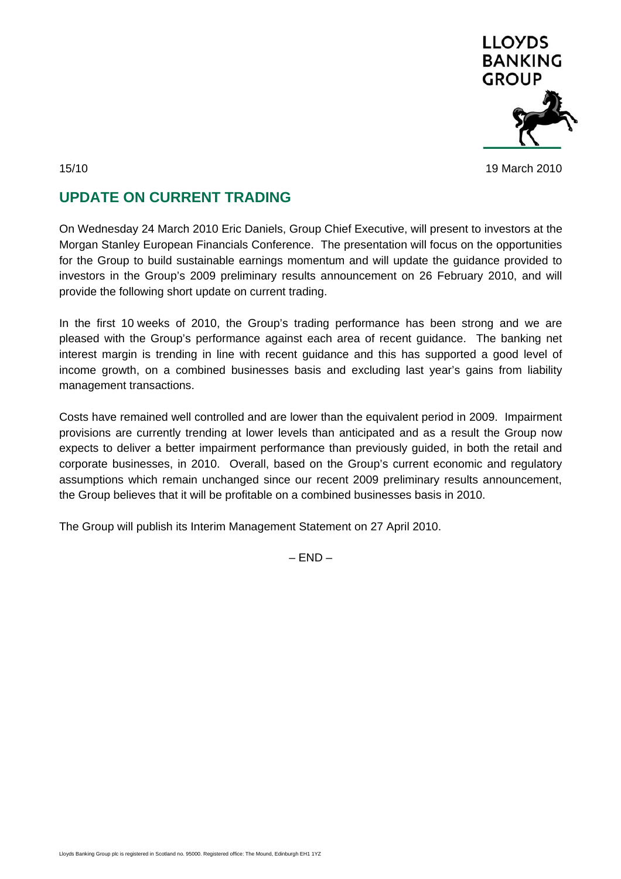

## 15/10 19 March 2010

## **UPDATE ON CURRENT TRADING**

On Wednesday 24 March 2010 Eric Daniels, Group Chief Executive, will present to investors at the Morgan Stanley European Financials Conference. The presentation will focus on the opportunities for the Group to build sustainable earnings momentum and will update the guidance provided to investors in the Group's 2009 preliminary results announcement on 26 February 2010, and will provide the following short update on current trading.

In the first 10 weeks of 2010, the Group's trading performance has been strong and we are pleased with the Group's performance against each area of recent guidance. The banking net interest margin is trending in line with recent guidance and this has supported a good level of income growth, on a combined businesses basis and excluding last year's gains from liability management transactions.

Costs have remained well controlled and are lower than the equivalent period in 2009. Impairment provisions are currently trending at lower levels than anticipated and as a result the Group now expects to deliver a better impairment performance than previously guided, in both the retail and corporate businesses, in 2010. Overall, based on the Group's current economic and regulatory assumptions which remain unchanged since our recent 2009 preliminary results announcement, the Group believes that it will be profitable on a combined businesses basis in 2010.

The Group will publish its Interim Management Statement on 27 April 2010.

 $-$  END  $-$